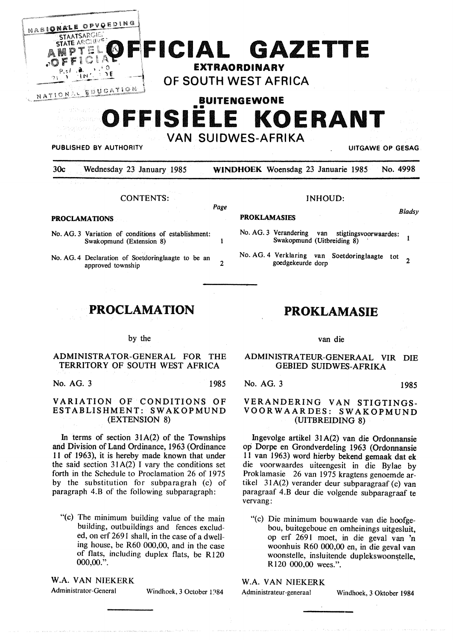| NASIONALE OPVOEDING<br><b>STAATSARGIE:</b><br><b>STATE ARCHIVES</b><br>FF<br>$\cdot$ O<br>NATIONAL EDUCATION | FFICIAL GAZETTE<br>EXTRAORDINARY<br>OF SOUTH WEST AFRICA<br>十字表                         |  |
|--------------------------------------------------------------------------------------------------------------|-----------------------------------------------------------------------------------------|--|
| <b>BUITENGEWONE</b><br>OFFISIELE KOERANT<br><b>VAN SUIDWES-AFRIKA</b><br><b>PUBLISHED BY AUTHORITY</b>       |                                                                                         |  |
|                                                                                                              |                                                                                         |  |
| 30 <sub>c</sub><br>Wednesday 23 January 1985                                                                 | <b>UITGAWE OP GESAG</b><br><b>WINDHOEK</b> Woensdag 23 Januarie 1985<br>No. 4998        |  |
| <b>CONTENTS:</b><br><b>PROCLAMATIONS</b>                                                                     | INHOUD:<br>Page<br><b>Bladsv</b><br><b>PROKLAMASIES</b>                                 |  |
| No. AG. 3 Variation of conditions of establishment:<br>Swakopmund (Extension 8)                              | No. AG. 3 Verandering van stigtingsvoorwaardes:<br>1<br>Swakopmund (Uitbreiding 8)<br>1 |  |

# PROCLAMATION

#### by the

#### ADMINISTRATOR-GENERAL FOR THE TERRITORY OF SOUTH WEST AFRICA

No. AG. 3 1985

### VARIATION OF CONDITIONS OF ESTABLISHMENT: SWAKOPMUND (EXTENSION 8)

In terms of section  $31A(2)$  of the Townships and Division of Land Ordinance, 1963 ( Ordinance 11 of 1963), it is hereby made known that under the said section  $31A(2)$  I vary the conditions set forth in the Schedule to Proclamation 26 of 1975 by the substitution for subparagrah (c) of paragraph 4.B of the following subparagraph:

"(c) The minimum building value of the main building, outbuildings and fences excluded, on erf 2691 shall, in the case of a dwelling house, be R60 000,00, and in the case of flats, including duplex flats, be R120 000,00.".

**W.A. VAN** NIEKERK

Administrator-General Windhoek, 3 October 1984

# PROKLAMASIE

van die

## ADMINISTRA TEUR-GENERAAL VIR DIE GEBIED SUIDWES-AFRIKA

No. AG. 3 1985

## **VERANDERING VAN STIGTINGS-VOOR WAARDES: SWAKOPMUND**  (UITBREIDING 8)

lngevolge artikel 31A(2) van die Ordonnansie op Dorpe en Grondverdeling 1963 (Ordonnansie 11 van 1963) word hierby bekend gemaak dat ek die voorwaardes uiteengesit in die Bylae by Proklamasie 26 van 1975 kragtens genoemde artikel 31A(2) verander deur subparagraaf (c) van paragraaf 4.B deur die volgende subparagraaf te vervang:

"(c) Die minimum bouwaarde van die hoofgebou, buitegeboue en omheinings uitgesluit, op erf 2691 moet, in die geval van 'n woonhuis R60 000,00 en, in die geval van woonstelle, insluitende duplekswoonstelle. **R120 000,00 wees.".** 

# W.A. VAN NIEKERK

Administrateur-generaal Windhoek, 3 Oktober 1984